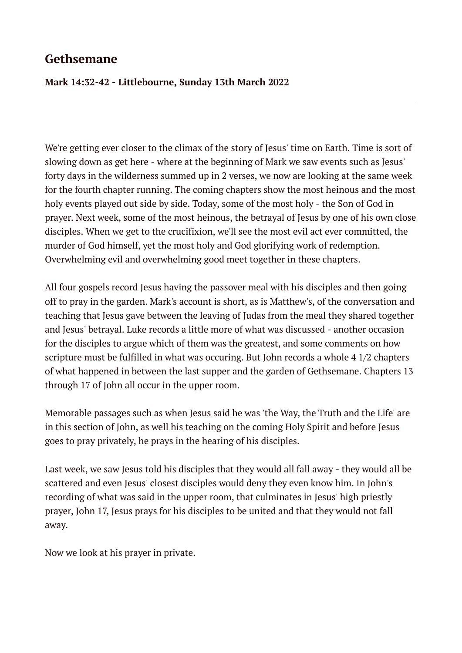### **Gethsemane**

#### **Mark 14:32-42 - Littlebourne, Sunday 13th March 2022**

We're getting ever closer to the climax of the story of Jesus' time on Earth. Time is sort of slowing down as get here - where at the beginning of Mark we saw events such as Jesus' forty days in the wilderness summed up in 2 verses, we now are looking at the same week for the fourth chapter running. The coming chapters show the most heinous and the most holy events played out side by side. Today, some of the most holy - the Son of God in prayer. Next week, some of the most heinous, the betrayal of Jesus by one of his own close disciples. When we get to the crucifixion, we'll see the most evil act ever committed, the murder of God himself, yet the most holy and God glorifying work of redemption. Overwhelming evil and overwhelming good meet together in these chapters.

All four gospels record Jesus having the passover meal with his disciples and then going off to pray in the garden. Mark's account is short, as is Matthew's, of the conversation and teaching that Jesus gave between the leaving of Judas from the meal they shared together and Jesus' betrayal. Luke records a little more of what was discussed - another occasion for the disciples to argue which of them was the greatest, and some comments on how scripture must be fulfilled in what was occuring. But John records a whole 4 1/2 chapters of what happened in between the last supper and the garden of Gethsemane. Chapters 13 through 17 of John all occur in the upper room.

Memorable passages such as when Jesus said he was 'the Way, the Truth and the Life' are in this section of John, as well his teaching on the coming Holy Spirit and before Jesus goes to pray privately, he prays in the hearing of his disciples.

Last week, we saw Jesus told his disciples that they would all fall away - they would all be scattered and even Jesus' closest disciples would deny they even know him. In John's recording of what was said in the upper room, that culminates in Jesus' high priestly prayer, John 17, Jesus prays for his disciples to be united and that they would not fall away.

Now we look at his prayer in private.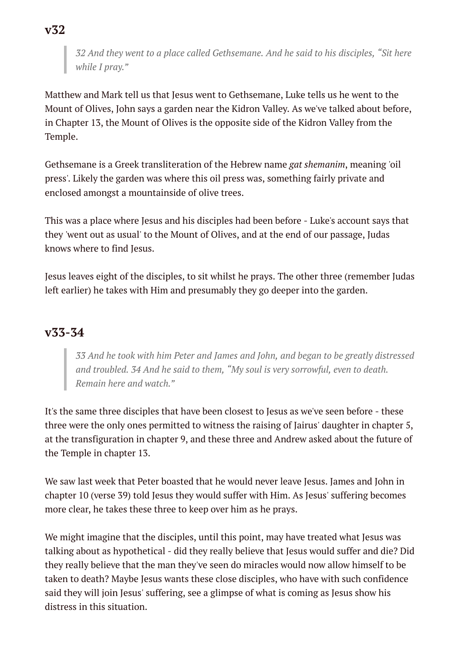*32 And they went to a place called Gethsemane. And he said to his disciples, "Sit here while I pray."*

Matthew and Mark tell us that Jesus went to Gethsemane, Luke tells us he went to the Mount of Olives, John says a garden near the Kidron Valley. As we've talked about before, in Chapter 13, the Mount of Olives is the opposite side of the Kidron Valley from the Temple.

Gethsemane is a Greek transliteration of the Hebrew name *gat shemanim*, meaning 'oil press'. Likely the garden was where this oil press was, something fairly private and enclosed amongst a mountainside of olive trees.

This was a place where Jesus and his disciples had been before - Luke's account says that they 'went out as usual' to the Mount of Olives, and at the end of our passage, Judas knows where to find Jesus.

Jesus leaves eight of the disciples, to sit whilst he prays. The other three (remember Judas left earlier) he takes with Him and presumably they go deeper into the garden.

### **v33-34**

*33 And he took with him Peter and James and John, and began to be greatly distressed and troubled. 34 And he said to them, "My soul is very sorrowful, even to death. Remain here and watch."*

It's the same three disciples that have been closest to Jesus as we've seen before - these three were the only ones permitted to witness the raising of Jairus' daughter in chapter 5, at the transfiguration in chapter 9, and these three and Andrew asked about the future of the Temple in chapter 13.

We saw last week that Peter boasted that he would never leave Jesus. James and John in chapter 10 (verse 39) told Jesus they would suffer with Him. As Jesus' suffering becomes more clear, he takes these three to keep over him as he prays.

We might imagine that the disciples, until this point, may have treated what Jesus was talking about as hypothetical - did they really believe that Jesus would suffer and die? Did they really believe that the man they've seen do miracles would now allow himself to be taken to death? Maybe Jesus wants these close disciples, who have with such confidence said they will join Jesus' suffering, see a glimpse of what is coming as Jesus show his distress in this situation.

**v32**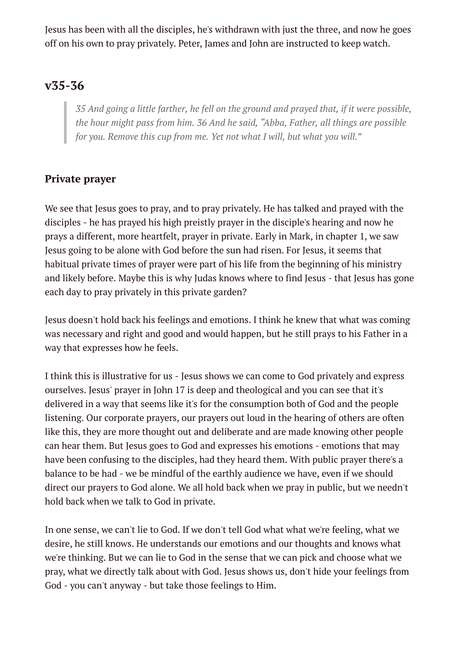Jesus has been with all the disciples, he's withdrawn with just the three, and now he goes off on his own to pray privately. Peter, James and John are instructed to keep watch.

## **v35-36**

*35 And going a little farther, he fell on the ground and prayed that, if it were possible, the hour might pass from him. 36 And he said, "Abba, Father, all things are possible for you. Remove this cup from me. Yet not what I will, but what you will."*

### **Private prayer**

We see that Jesus goes to pray, and to pray privately. He has talked and prayed with the disciples - he has prayed his high preistly prayer in the disciple's hearing and now he prays a different, more heartfelt, prayer in private. Early in Mark, in chapter 1, we saw Jesus going to be alone with God before the sun had risen. For Jesus, it seems that habitual private times of prayer were part of his life from the beginning of his ministry and likely before. Maybe this is why Judas knows where to find Jesus - that Jesus has gone each day to pray privately in this private garden?

Jesus doesn't hold back his feelings and emotions. I think he knew that what was coming was necessary and right and good and would happen, but he still prays to his Father in a way that expresses how he feels.

I think this is illustrative for us - Jesus shows we can come to God privately and express ourselves. Jesus' prayer in John 17 is deep and theological and you can see that it's delivered in a way that seems like it's for the consumption both of God and the people listening. Our corporate prayers, our prayers out loud in the hearing of others are often like this, they are more thought out and deliberate and are made knowing other people can hear them. But Jesus goes to God and expresses his emotions - emotions that may have been confusing to the disciples, had they heard them. With public prayer there's a balance to be had - we be mindful of the earthly audience we have, even if we should direct our prayers to God alone. We all hold back when we pray in public, but we needn't hold back when we talk to God in private.

In one sense, we can't lie to God. If we don't tell God what what we're feeling, what we desire, he still knows. He understands our emotions and our thoughts and knows what we're thinking. But we can lie to God in the sense that we can pick and choose what we pray, what we directly talk about with God. Jesus shows us, don't hide your feelings from God - you can't anyway - but take those feelings to Him.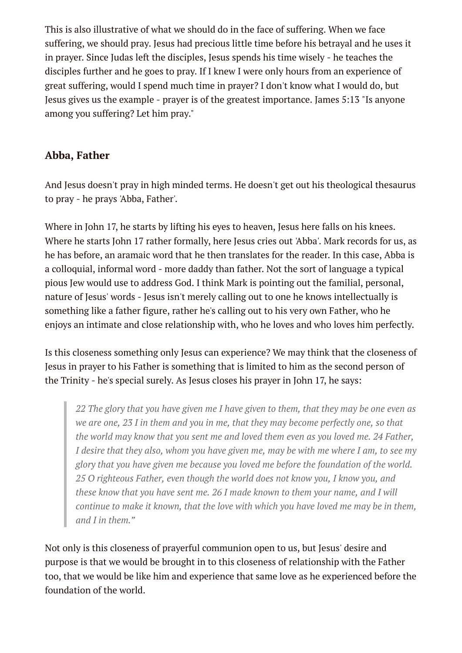This is also illustrative of what we should do in the face of suffering. When we face suffering, we should pray. Jesus had precious little time before his betrayal and he uses it in prayer. Since Judas left the disciples, Jesus spends his time wisely - he teaches the disciples further and he goes to pray. If I knew I were only hours from an experience of great suffering, would I spend much time in prayer? I don't know what I would do, but Jesus gives us the example - prayer is of the greatest importance. James 5:13 "Is anyone among you suffering? Let him pray."

### **Abba, Father**

And Jesus doesn't pray in high minded terms. He doesn't get out his theological thesaurus to pray - he prays 'Abba, Father'.

Where in John 17, he starts by lifting his eyes to heaven, Jesus here falls on his knees. Where he starts John 17 rather formally, here Jesus cries out 'Abba'. Mark records for us, as he has before, an aramaic word that he then translates for the reader. In this case, Abba is a colloquial, informal word - more daddy than father. Not the sort of language a typical pious Jew would use to address God. I think Mark is pointing out the familial, personal, nature of Jesus' words - Jesus isn't merely calling out to one he knows intellectually is something like a father figure, rather he's calling out to his very own Father, who he enjoys an intimate and close relationship with, who he loves and who loves him perfectly.

Is this closeness something only Jesus can experience? We may think that the closeness of Jesus in prayer to his Father is something that is limited to him as the second person of the Trinity - he's special surely. As Jesus closes his prayer in John 17, he says:

*22 The glory that you have given me I have given to them, that they may be one even as we are one, 23 I in them and you in me, that they may become perfectly one, so that the world may know that you sent me and loved them even as you loved me. 24 Father, I desire that they also, whom you have given me, may be with me where I am, to see my glory that you have given me because you loved me before the foundation of the world. 25 O righteous Father, even though the world does not know you, I know you, and these know that you have sent me. 26 I made known to them your name, and I will continue to make it known, that the love with which you have loved me may be in them, and I in them."*

Not only is this closeness of prayerful communion open to us, but Jesus' desire and purpose is that we would be brought in to this closeness of relationship with the Father too, that we would be like him and experience that same love as he experienced before the foundation of the world.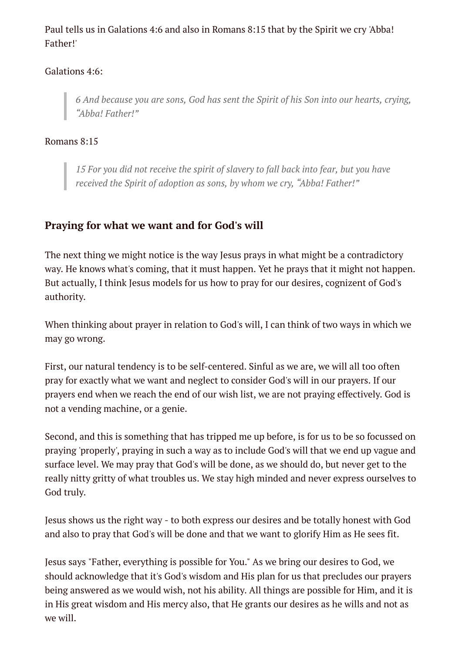Paul tells us in Galations 4:6 and also in Romans 8:15 that by the Spirit we cry 'Abba! Father!'

#### Galations 4:6:

*6 And because you are sons, God has sent the Spirit of his Son into our hearts, crying, "Abba! Father!"*

#### Romans 8:15

*15 For you did not receive the spirit of slavery to fall back into fear, but you have received the Spirit of adoption as sons, by whom we cry, "Abba! Father!"*

#### **Praying for what we want and for God's will**

The next thing we might notice is the way Jesus prays in what might be a contradictory way. He knows what's coming, that it must happen. Yet he prays that it might not happen. But actually, I think Jesus models for us how to pray for our desires, cognizent of God's authority.

When thinking about prayer in relation to God's will, I can think of two ways in which we may go wrong.

First, our natural tendency is to be self-centered. Sinful as we are, we will all too often pray for exactly what we want and neglect to consider God's will in our prayers. If our prayers end when we reach the end of our wish list, we are not praying effectively. God is not a vending machine, or a genie.

Second, and this is something that has tripped me up before, is for us to be so focussed on praying 'properly', praying in such a way as to include God's will that we end up vague and surface level. We may pray that God's will be done, as we should do, but never get to the really nitty gritty of what troubles us. We stay high minded and never express ourselves to God truly.

Jesus shows us the right way - to both express our desires and be totally honest with God and also to pray that God's will be done and that we want to glorify Him as He sees fit.

Jesus says "Father, everything is possible for You." As we bring our desires to God, we should acknowledge that it's God's wisdom and His plan for us that precludes our prayers being answered as we would wish, not his ability. All things are possible for Him, and it is in His great wisdom and His mercy also, that He grants our desires as he wills and not as we will.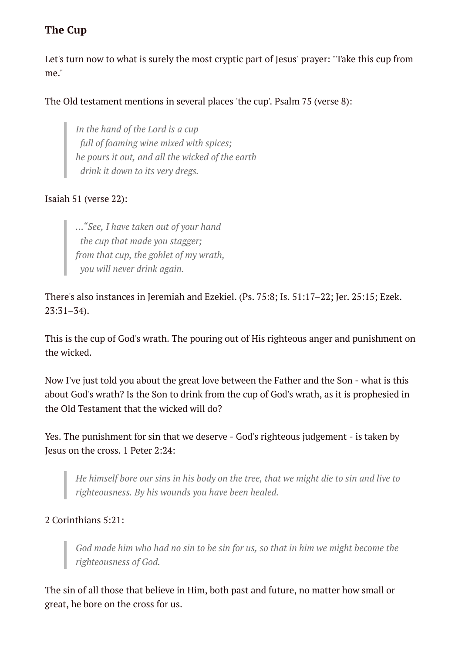### **The Cup**

Let's turn now to what is surely the most cryptic part of Jesus' prayer: "Take this cup from me."

#### The Old testament mentions in several places 'the cup'. Psalm 75 (verse 8):

*In the hand of the Lord is a cup full of foaming wine mixed with spices; he pours it out, and all the wicked of the earth drink it down to its very dregs.*

#### Isaiah 51 (verse 22):

*..."See, I have taken out of your hand the cup that made you stagger; from that cup, the goblet of my wrath, you will never drink again.*

There's also instances in Jeremiah and Ezekiel. (Ps. 75:8; Is. 51:17–22; Jer. 25:15; Ezek. 23:31–34).

This is the cup of God's wrath. The pouring out of His righteous anger and punishment on the wicked.

Now I've just told you about the great love between the Father and the Son - what is this about God's wrath? Is the Son to drink from the cup of God's wrath, as it is prophesied in the Old Testament that the wicked will do?

Yes. The punishment for sin that we deserve - God's righteous judgement - is taken by Jesus on the cross. 1 Peter 2:24:

*He himself bore our sins in his body on the tree, that we might die to sin and live to righteousness. By his wounds you have been healed.*

#### 2 Corinthians 5:21:

*God made him who had no sin to be sin for us, so that in him we might become the righteousness of God.*

The sin of all those that believe in Him, both past and future, no matter how small or great, he bore on the cross for us.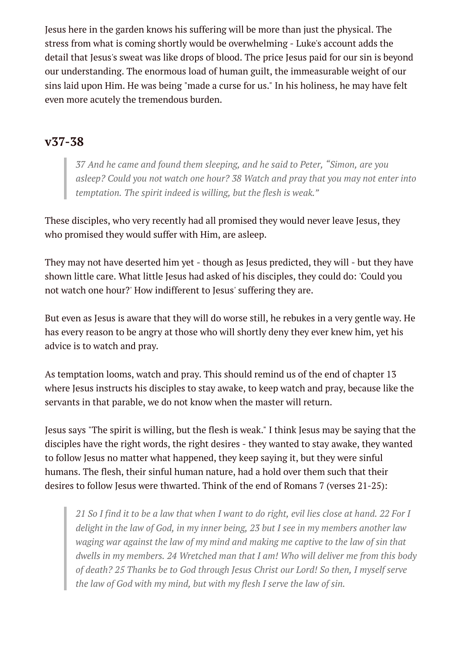Jesus here in the garden knows his suffering will be more than just the physical. The stress from what is coming shortly would be overwhelming - Luke's account adds the detail that Jesus's sweat was like drops of blood. The price Jesus paid for our sin is beyond our understanding. The enormous load of human guilt, the immeasurable weight of our sins laid upon Him. He was being "made a curse for us." In his holiness, he may have felt even more acutely the tremendous burden.

### **v37-38**

*37 And he came and found them sleeping, and he said to Peter, "Simon, are you asleep? Could you not watch one hour? 38 Watch and pray that you may not enter into temptation. The spirit indeed is willing, but the flesh is weak."*

These disciples, who very recently had all promised they would never leave Jesus, they who promised they would suffer with Him, are asleep.

They may not have deserted him yet - though as Jesus predicted, they will - but they have shown little care. What little Jesus had asked of his disciples, they could do: 'Could you not watch one hour?' How indifferent to Jesus' suffering they are.

But even as Jesus is aware that they will do worse still, he rebukes in a very gentle way. He has every reason to be angry at those who will shortly deny they ever knew him, yet his advice is to watch and pray.

As temptation looms, watch and pray. This should remind us of the end of chapter 13 where Jesus instructs his disciples to stay awake, to keep watch and pray, because like the servants in that parable, we do not know when the master will return.

Jesus says "The spirit is willing, but the flesh is weak." I think Jesus may be saying that the disciples have the right words, the right desires - they wanted to stay awake, they wanted to follow Jesus no matter what happened, they keep saying it, but they were sinful humans. The flesh, their sinful human nature, had a hold over them such that their desires to follow Jesus were thwarted. Think of the end of Romans 7 (verses 21-25):

21 So I find it to be a law that when I want to do right, evil lies close at hand, 22 For I *delight in the law of God, in my inner being, 23 but I see in my members another law waging war against the law of my mind and making me captive to the law of sin that dwells in my members. 24 Wretched man that I am! Who will deliver me from this body of death? 25 Thanks be to God through Jesus Christ our Lord! So then, I myself serve the law of God with my mind, but with my flesh I serve the law of sin.*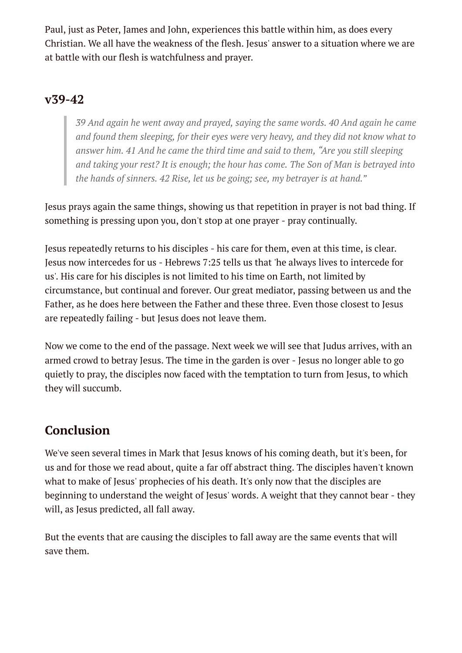Paul, just as Peter, James and John, experiences this battle within him, as does every Christian. We all have the weakness of the flesh. Jesus' answer to a situation where we are at battle with our flesh is watchfulness and prayer.

## **v39-42**

*39 And again he went away and prayed, saying the same words. 40 And again he came and found them sleeping, for their eyes were very heavy, and they did not know what to answer him. 41 And he came the third time and said to them, "Are you still sleeping and taking your rest? It is enough; the hour has come. The Son of Man is betrayed into the hands of sinners. 42 Rise, let us be going; see, my betrayer is at hand."*

Jesus prays again the same things, showing us that repetition in prayer is not bad thing. If something is pressing upon you, don't stop at one prayer - pray continually.

Jesus repeatedly returns to his disciples - his care for them, even at this time, is clear. Jesus now intercedes for us - Hebrews 7:25 tells us that 'he always lives to intercede for us'. His care for his disciples is not limited to his time on Earth, not limited by circumstance, but continual and forever. Our great mediator, passing between us and the Father, as he does here between the Father and these three. Even those closest to Jesus are repeatedly failing - but Jesus does not leave them.

Now we come to the end of the passage. Next week we will see that Judus arrives, with an armed crowd to betray Jesus. The time in the garden is over - Jesus no longer able to go quietly to pray, the disciples now faced with the temptation to turn from Jesus, to which they will succumb.

# **Conclusion**

We've seen several times in Mark that Jesus knows of his coming death, but it's been, for us and for those we read about, quite a far off abstract thing. The disciples haven't known what to make of Jesus' prophecies of his death. It's only now that the disciples are beginning to understand the weight of Jesus' words. A weight that they cannot bear - they will, as Jesus predicted, all fall away.

But the events that are causing the disciples to fall away are the same events that will save them.